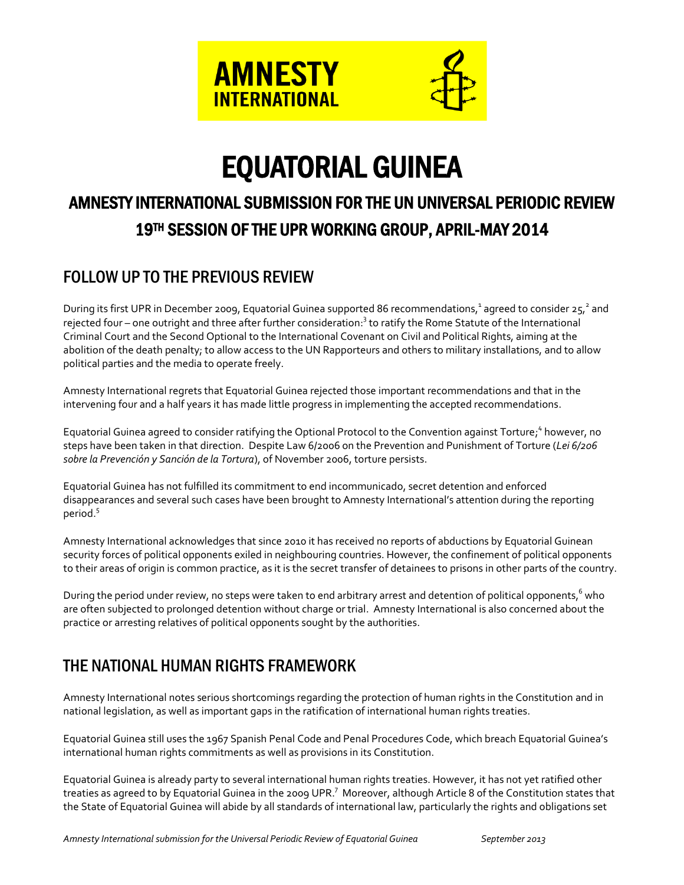

# EQUATORIAL GUINEA

# AMNESTY INTERNATIONAL SUBMISSION FOR THE UN UNIVERSAL PERIODIC REVIEW 19TH SESSION OF THE UPR WORKING GROUP, APRIL-MAY 2014

# FOLLOW UP TO THE PREVIOUS REVIEW

During its first UPR in December 2009, Equatorial Guinea supported 86 recommendations,<sup>1</sup> agreed to consider 25,<sup>2</sup> and rejected four – one outright and three after further consideration:<sup>3</sup> to ratify the Rome Statute of the International Criminal Court and the Second Optional to the International Covenant on Civil and Political Rights, aiming at the abolition of the death penalty; to allow access to the UN Rapporteurs and others to military installations, and to allow political parties and the media to operate freely.

Amnesty International regrets that Equatorial Guinea rejected those important recommendations and that in the intervening four and a half years it has made little progress in implementing the accepted recommendations.

Equatorial Guinea agreed to consider ratifying the Optional Protocol to the Convention against Torture;<sup>4</sup> however, no steps have been taken in that direction. Despite Law 6/2006 on the Prevention and Punishment of Torture (*Lei 6/206 sobre la Prevención y Sanción de la Tortura*), of November 2006, torture persists.

Equatorial Guinea has not fulfilled its commitment to end incommunicado, secret detention and enforced disappearances and several such cases have been brought to Amnesty International's attention during the reporting period.<sup>5</sup>

Amnesty International acknowledges that since 2010 it has received no reports of abductions by Equatorial Guinean security forces of political opponents exiled in neighbouring countries. However, the confinement of political opponents to their areas of origin is common practice, as it is the secret transfer of detainees to prisons in other parts of the country.

During the period under review, no steps were taken to end arbitrary arrest and detention of political opponents,<sup>6</sup> who are often subjected to prolonged detention without charge or trial. Amnesty International is also concerned about the practice or arresting relatives of political opponents sought by the authorities.

# THE NATIONAL HUMAN RIGHTS FRAMEWORK

Amnesty International notes serious shortcomings regarding the protection of human rights in the Constitution and in national legislation, as well as important gaps in the ratification of international human rights treaties.

Equatorial Guinea still uses the 1967 Spanish Penal Code and Penal Procedures Code, which breach Equatorial Guinea's international human rights commitments as well as provisions in its Constitution.

Equatorial Guinea is already party to several international human rights treaties. However, it has not yet ratified other treaties as agreed to by Equatorial Guinea in the 2009 UPR. $^7\,$  Moreover, although Article 8 of the Constitution states that the State of Equatorial Guinea will abide by all standards of international law, particularly the rights and obligations set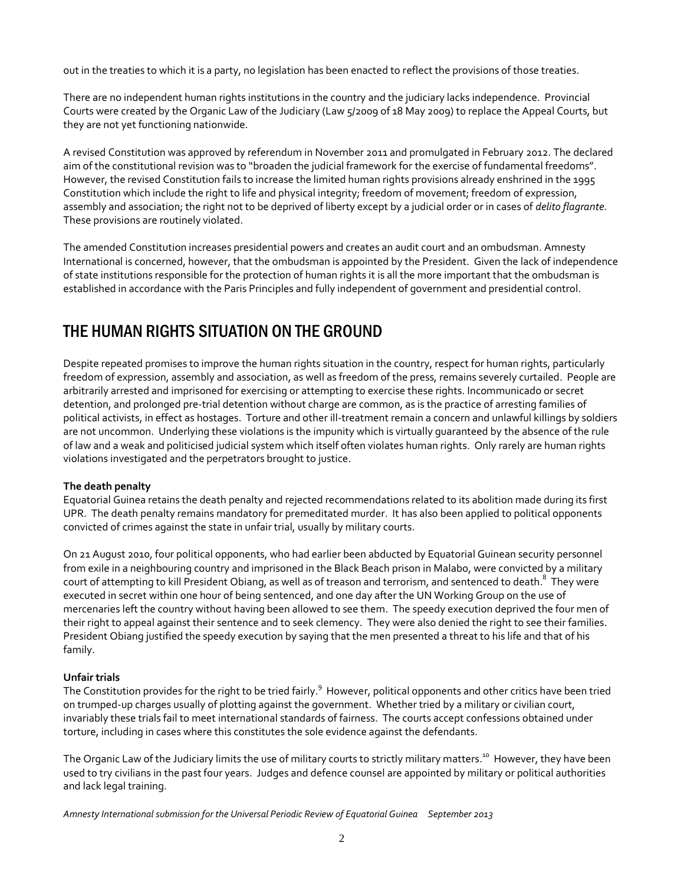out in the treaties to which it is a party, no legislation has been enacted to reflect the provisions of those treaties.

There are no independent human rights institutions in the country and the judiciary lacks independence. Provincial Courts were created by the Organic Law of the Judiciary (Law 5/2009 of 18 May 2009) to replace the Appeal Courts, but they are not yet functioning nationwide.

A revised Constitution was approved by referendum in November 2011 and promulgated in February 2012. The declared aim of the constitutional revision was to "broaden the judicial framework for the exercise of fundamental freedoms". However, the revised Constitution fails to increase the limited human rights provisions already enshrined in the 1995 Constitution which include the right to life and physical integrity; freedom of movement; freedom of expression, assembly and association; the right not to be deprived of liberty except by a judicial order or in cases of *delito flagrante.*  These provisions are routinely violated.

The amended Constitution increases presidential powers and creates an audit court and an ombudsman. Amnesty International is concerned, however, that the ombudsman is appointed by the President. Given the lack of independence of state institutions responsible for the protection of human rights it is all the more important that the ombudsman is established in accordance with the Paris Principles and fully independent of government and presidential control.

# THE HUMAN RIGHTS SITUATION ON THE GROUND

Despite repeated promises to improve the human rights situation in the country, respect for human rights, particularly freedom of expression, assembly and association, as well as freedom of the press, remains severely curtailed. People are arbitrarily arrested and imprisoned for exercising or attempting to exercise these rights. Incommunicado or secret detention, and prolonged pre-trial detention without charge are common, as is the practice of arresting families of political activists, in effect as hostages. Torture and other ill-treatment remain a concern and unlawful killings by soldiers are not uncommon. Underlying these violations is the impunity which is virtually guaranteed by the absence of the rule of law and a weak and politicised judicial system which itself often violates human rights. Only rarely are human rights violations investigated and the perpetrators brought to justice.

#### **The death penalty**

Equatorial Guinea retains the death penalty and rejected recommendations related to its abolition made during its first UPR. The death penalty remains mandatory for premeditated murder. It has also been applied to political opponents convicted of crimes against the state in unfair trial, usually by military courts.

On 21 August 2010, four political opponents, who had earlier been abducted by Equatorial Guinean security personnel from exile in a neighbouring country and imprisoned in the Black Beach prison in Malabo, were convicted by a military court of attempting to kill President Obiang, as well as of treason and terrorism, and sentenced to death.<sup>8</sup> They were executed in secret within one hour of being sentenced, and one day after the UN Working Group on the use of mercenaries left the country without having been allowed to see them. The speedy execution deprived the four men of their right to appeal against their sentence and to seek clemency. They were also denied the right to see their families. President Obiang justified the speedy execution by saying that the men presented a threat to his life and that of his family.

#### **Unfair trials**

The Constitution provides for the right to be tried fairly.<sup>9</sup> However, political opponents and other critics have been tried on trumped-up charges usually of plotting against the government. Whether tried by a military or civilian court, invariably these trials fail to meet international standards of fairness. The courts accept confessions obtained under torture, including in cases where this constitutes the sole evidence against the defendants.

The Organic Law of the Judiciary limits the use of military courts to strictly military matters.<sup>10</sup> However, they have been used to try civilians in the past four years. Judges and defence counsel are appointed by military or political authorities and lack legal training.

*Amnesty International submission for the Universal Periodic Review of Equatorial Guinea September 2013*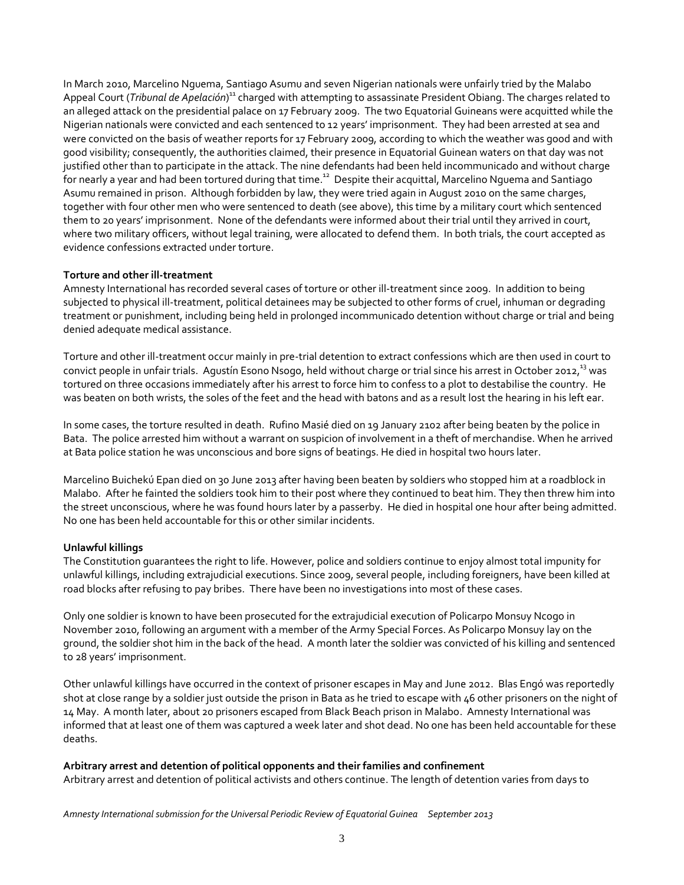In March 2010, Marcelino Nguema, Santiago Asumu and seven Nigerian nationals were unfairly tried by the Malabo Appeal Court (*Tribunal de Apelación*)<sup>11</sup> charged with attempting to assassinate President Obiang. The charges related to an alleged attack on the presidential palace on 17 February 2009. The two Equatorial Guineans were acquitted while the Nigerian nationals were convicted and each sentenced to 12 years' imprisonment. They had been arrested at sea and were convicted on the basis of weather reports for 17 February 2009, according to which the weather was good and with good visibility; consequently, the authorities claimed, their presence in Equatorial Guinean waters on that day was not justified other than to participate in the attack. The nine defendants had been held incommunicado and without charge <sup>5</sup><br>for nearly a year and had been tortured during that time.<sup>12</sup> Despite their acquittal, Marcelino Nguema and Santiago Asumu remained in prison. Although forbidden by law, they were tried again in August 2010 on the same charges, together with four other men who were sentenced to death (see above), this time by a military court which sentenced them to 20 years' imprisonment. None of the defendants were informed about their trial until they arrived in court, where two military officers, without legal training, were allocated to defend them. In both trials, the court accepted as evidence confessions extracted under torture.

#### **Torture and other ill-treatment**

Amnesty International has recorded several cases of torture or other ill-treatment since 2009. In addition to being subjected to physical ill-treatment, political detainees may be subjected to other forms of cruel, inhuman or degrading treatment or punishment, including being held in prolonged incommunicado detention without charge or trial and being denied adequate medical assistance.

Torture and other ill-treatment occur mainly in pre-trial detention to extract confessions which are then used in court to convict people in unfair trials. Agustín Esono Nsogo, held without charge or trial since his arrest in October 2012, $^{13}$  was tortured on three occasions immediately after his arrest to force him to confess to a plot to destabilise the country. He was beaten on both wrists, the soles of the feet and the head with batons and as a result lost the hearing in his left ear.

In some cases, the torture resulted in death. Rufino Masié died on 19 January 2102 after being beaten by the police in Bata. The police arrested him without a warrant on suspicion of involvement in a theft of merchandise. When he arrived at Bata police station he was unconscious and bore signs of beatings. He died in hospital two hours later.

Marcelino Buichekú Epan died on 30 June 2013 after having been beaten by soldiers who stopped him at a roadblock in Malabo. After he fainted the soldiers took him to their post where they continued to beat him. They then threw him into the street unconscious, where he was found hours later by a passerby. He died in hospital one hour after being admitted. No one has been held accountable for this or other similar incidents.

#### **Unlawful killings**

The Constitution guarantees the right to life. However, police and soldiers continue to enjoy almost total impunity for unlawful killings, including extrajudicial executions. Since 2009, several people, including foreigners, have been killed at road blocks after refusing to pay bribes. There have been no investigations into most of these cases.

Only one soldier is known to have been prosecuted for the extrajudicial execution of Policarpo Monsuy Ncogo in November 2010, following an argument with a member of the Army Special Forces. As Policarpo Monsuy lay on the ground, the soldier shot him in the back of the head. A month later the soldier was convicted of his killing and sentenced to 28 years' imprisonment.

Other unlawful killings have occurred in the context of prisoner escapes in May and June 2012. Blas Engó was reportedly shot at close range by a soldier just outside the prison in Bata as he tried to escape with 46 other prisoners on the night of 14 May. A month later, about 20 prisoners escaped from Black Beach prison in Malabo. Amnesty International was informed that at least one of them was captured a week later and shot dead. No one has been held accountable for these deaths.

#### **Arbitrary arrest and detention of political opponents and their families and confinement**

Arbitrary arrest and detention of political activists and others continue. The length of detention varies from days to

*Amnesty International submission for the Universal Periodic Review of Equatorial Guinea September 2013*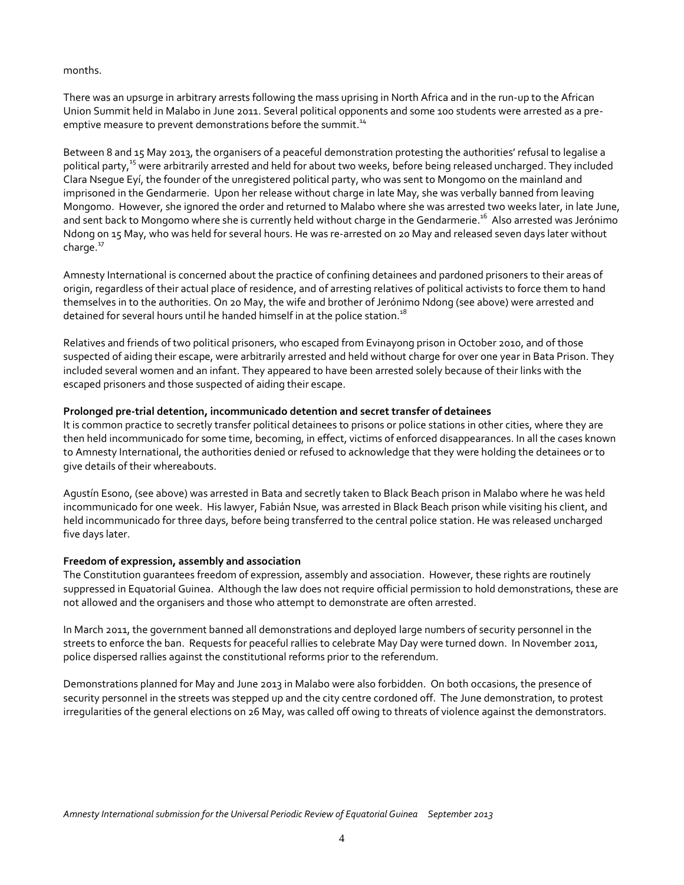#### months.

There was an upsurge in arbitrary arrests following the mass uprising in North Africa and in the run-up to the African Union Summit held in Malabo in June 2011. Several political opponents and some 100 students were arrested as a preemptive measure to prevent demonstrations before the summit.<sup>14</sup>

Between 8 and 15 May 2013, the organisers of a peaceful demonstration protesting the authorities' refusal to legalise a political party,<sup>15</sup> were arbitrarily arrested and held for about two weeks, before being released uncharged. They included Clara Nsegue Eyí, the founder of the unregistered political party, who was sent to Mongomo on the mainland and imprisoned in the Gendarmerie. Upon her release without charge in late May, she was verbally banned from leaving Mongomo. However, she ignored the order and returned to Malabo where she was arrested two weeks later, in late June, and sent back to Mongomo where she is currently held without charge in the Gendarmerie.<sup>16</sup> Also arrested was Jerónimo Ndong on 15 May, who was held for several hours. He was re-arrested on 20 May and released seven days later without charge. $17$ 

Amnesty International is concerned about the practice of confining detainees and pardoned prisoners to their areas of origin, regardless of their actual place of residence, and of arresting relatives of political activists to force them to hand themselves in to the authorities. On 20 May, the wife and brother of Jerónimo Ndong (see above) were arrested and detained for several hours until he handed himself in at the police station.<sup>18</sup>

Relatives and friends of two political prisoners, who escaped from Evinayong prison in October 2010, and of those suspected of aiding their escape, were arbitrarily arrested and held without charge for over one year in Bata Prison. They included several women and an infant. They appeared to have been arrested solely because of their links with the escaped prisoners and those suspected of aiding their escape.

#### **Prolonged pre-trial detention, incommunicado detention and secret transfer of detainees**

It is common practice to secretly transfer political detainees to prisons or police stations in other cities, where they are then held incommunicado for some time, becoming, in effect, victims of enforced disappearances. In all the cases known to Amnesty International, the authorities denied or refused to acknowledge that they were holding the detainees or to give details of their whereabouts.

Agustín Esono, (see above) was arrested in Bata and secretly taken to Black Beach prison in Malabo where he was held incommunicado for one week. His lawyer, Fabián Nsue, was arrested in Black Beach prison while visiting his client, and held incommunicado for three days, before being transferred to the central police station. He was released uncharged five days later.

#### **Freedom of expression, assembly and association**

The Constitution guarantees freedom of expression, assembly and association. However, these rights are routinely suppressed in Equatorial Guinea. Although the law does not require official permission to hold demonstrations, these are not allowed and the organisers and those who attempt to demonstrate are often arrested.

In March 2011, the government banned all demonstrations and deployed large numbers of security personnel in the streets to enforce the ban. Requests for peaceful rallies to celebrate May Day were turned down. In November 2011, police dispersed rallies against the constitutional reforms prior to the referendum.

Demonstrations planned for May and June 2013 in Malabo were also forbidden. On both occasions, the presence of security personnel in the streets was stepped up and the city centre cordoned off. The June demonstration, to protest irregularities of the general elections on 26 May, was called off owing to threats of violence against the demonstrators.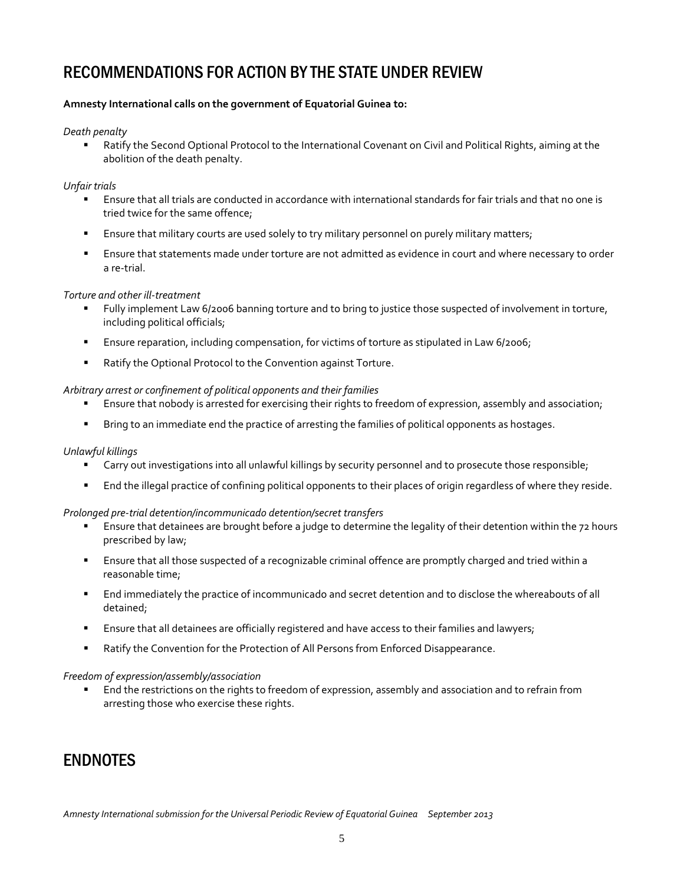## RECOMMENDATIONS FOR ACTION BY THE STATE UNDER REVIEW

#### **Amnesty International calls on the government of Equatorial Guinea to:**

#### *Death penalty*

 Ratify the Second Optional Protocol to the International Covenant on Civil and Political Rights, aiming at the abolition of the death penalty.

#### *Unfair trials*

- Ensure that all trials are conducted in accordance with international standards for fair trials and that no one is tried twice for the same offence;
- Ensure that military courts are used solely to try military personnel on purely military matters;
- Ensure that statements made under torture are not admitted as evidence in court and where necessary to order a re-trial.

#### *Torture and other ill-treatment*

- Fully implement Law 6/2006 banning torture and to bring to justice those suspected of involvement in torture, including political officials;
- **Ensure reparation, including compensation, for victims of torture as stipulated in Law 6/2006;**
- Ratify the Optional Protocol to the Convention against Torture.

#### *Arbitrary arrest or confinement of political opponents and their families*

- **Ensure that nobody is arrested for exercising their rights to freedom of expression, assembly and association;**
- **Bring to an immediate end the practice of arresting the families of political opponents as hostages.**

#### *Unlawful killings*

- Carry out investigations into all unlawful killings by security personnel and to prosecute those responsible;
- End the illegal practice of confining political opponents to their places of origin regardless of where they reside.

#### *Prolonged pre-trial detention/incommunicado detention/secret transfers*

- Ensure that detainees are brought before a judge to determine the legality of their detention within the 72 hours prescribed by law;
- Ensure that all those suspected of a recognizable criminal offence are promptly charged and tried within a reasonable time;
- End immediately the practice of incommunicado and secret detention and to disclose the whereabouts of all detained;
- **Ensure that all detainees are officially registered and have access to their families and lawyers;**
- Ratify the Convention for the Protection of All Persons from Enforced Disappearance.

#### *Freedom of expression/assembly/association*

 End the restrictions on the rights to freedom of expression, assembly and association and to refrain from arresting those who exercise these rights.

### **FNDNOTFS**